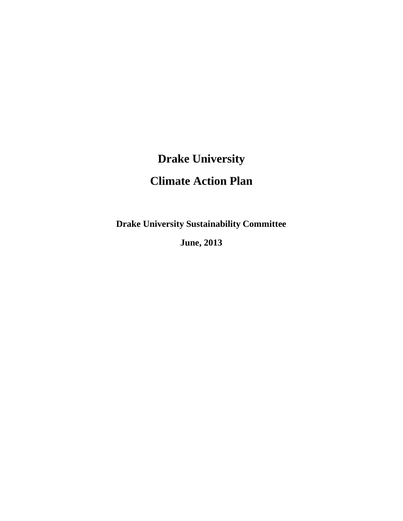# **Drake University**

# **Climate Action Plan**

**Drake University Sustainability Committee**

**June, 2013**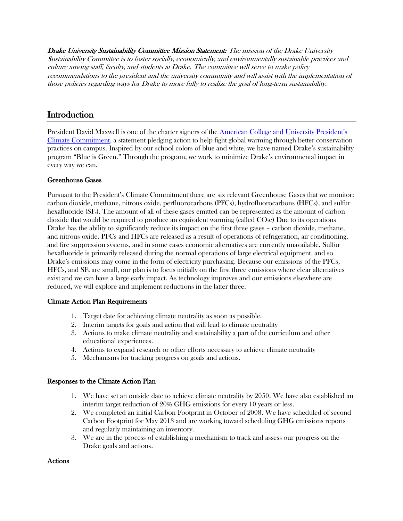Drake University Sustainability Committee Mission Statement: The mission of the Drake University Sustainability Committee is to foster socially, economically, and environmentally sustainable practices and culture among staff, faculty, and students at Drake. The committee will serve to make policy recommendations to the president and the university community and will assist with the implementation of those policies regarding ways for Drake to more fully to realize the goal of long-term sustainability.

# **Introduction**

President David Maxwell is one of the charter signers of the [American College and University President's](http://www.presidentsclimatecommitment.org/)  [Climate Commitment,](http://www.presidentsclimatecommitment.org/) a statement pledging action to help fight global warming through better conservation practices on campus. Inspired by our school colors of blue and white, we have named Drake's sustainability program "Blue is Green." Through the program, we work to minimize Drake's environmental impact in every way we can.

#### Greenhouse Gases

Pursuant to the President's Climate Commitment there are six relevant Greenhouse Gases that we monitor: carbon dioxide, methane, nitrous oxide, perfluorocarbons (PFCs), hydrofluorocarbons (HFCs), and sulfur hexafluoride  $(SF_6)$ . The amount of all of these gases emitted can be represented as the amount of carbon dioxide that would be required to produce an equivalent warming (called  $CO<sub>2</sub>e$ ) Due to its operations Drake has the ability to significantly reduce its impact on the first three gases – carbon dioxide, methane, and nitrous oxide. PFCs and HFCs are released as a result of operations of refrigeration, air conditioning, and fire suppression systems, and in some cases economic alternatives are currently unavailable. Sulfur hexafluoride is primarily released during the normal operations of large electrical equipment, and so Drake's emissions may come in the form of electricity purchasing. Because our emissions of the PFCs,  $HFCs$ , and  $SF<sub>6</sub>$  are small, our plan is to focus initially on the first three emissions where clear alternatives exist and we can have a large early impact. As technology improves and our emissions elsewhere are reduced, we will explore and implement reductions in the latter three.

#### Climate Action Plan Requirements

- 1. Target date for achieving climate neutrality as soon as possible.
- 2. Interim targets for goals and action that will lead to climate neutrality
- 3. Actions to make climate neutrality and sustainability a part of the curriculum and other educational experiences.
- 4. Actions to expand research or other efforts necessary to achieve climate neutrality
- 5. Mechanisms for tracking progress on goals and actions.

#### Responses to the Climate Action Plan

- 1. We have set an outside date to achieve climate neutrality by 2050. We have also established an interim target reduction of 20% GHG emissions for every 10 years or less.
- 2. We completed an initial Carbon Footprint in October of 2008. We have scheduled of second Carbon Footprint for May 2013 and are working toward scheduling GHG emissions reports and regularly maintaining an inventory.
- 3. We are in the process of establishing a mechanism to track and assess our progress on the Drake goals and actions.

#### Actions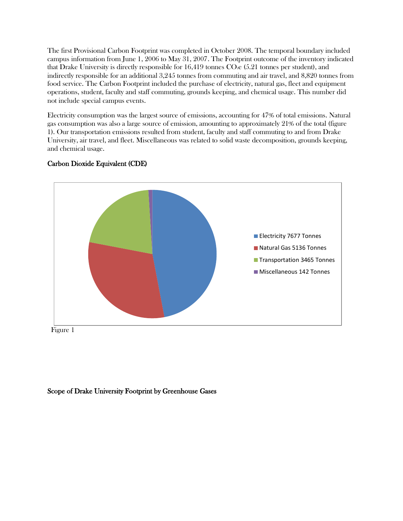The first Provisional Carbon Footprint was completed in October 2008. The temporal boundary included campus information from June 1, 2006 to May 31, 2007. The Footprint outcome of the inventory indicated that Drake University is directly responsible for  $16,419$  tonnes  $CO<sub>2</sub>e$  (5.21 tonnes per student), and indirectly responsible for an additional 3,245 tonnes from commuting and air travel, and 8,820 tonnes from food service. The Carbon Footprint included the purchase of electricity, natural gas, fleet and equipment operations, student, faculty and staff commuting, grounds keeping, and chemical usage. This number did not include special campus events.

Electricity consumption was the largest source of emissions, accounting for 47% of total emissions. Natural gas consumption was also a large source of emission, amounting to approximately 21% of the total (figure 1). Our transportation emissions resulted from student, faculty and staff commuting to and from Drake University, air travel, and fleet. Miscellaneous was related to solid waste decomposition, grounds keeping, and chemical usage.



# Carbon Dioxide Equivalent (CDE)

# Scope of Drake University Footprint by Greenhouse Gases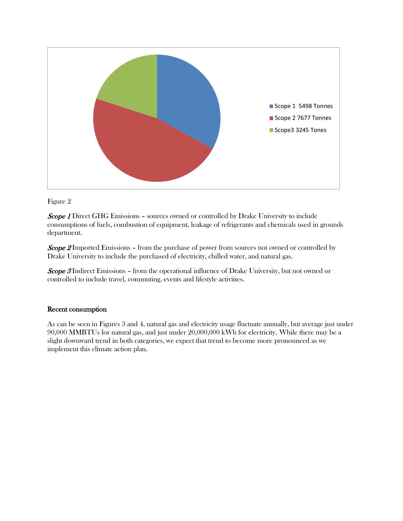

Figure 2

**Scope 1** Direct GHG Emissions - sources owned or controlled by Drake University to include consumptions of fuels, combustion of equipment, leakage of refrigerants and chemicals used in grounds department.

**Scope 2** Imported Emissions – from the purchase of power from sources not owned or controlled by Drake University to include the purchased of electricity, chilled water, and natural gas.

**Scope 3** Indirect Emissions – from the operational influence of Drake University, but not owned or controlled to include travel, commuting, events and lifestyle activities.

#### Recent consumption

As can be seen in Figures 3 and 4, natural gas and electricity usage fluctuate annually, but average just under 90,000 MMBTUs for natural gas, and just under 20,000,000 kWh for electricity. While there may be a slight downward trend in both categories, we expect that trend to become more pronounced as we implement this climate action plan.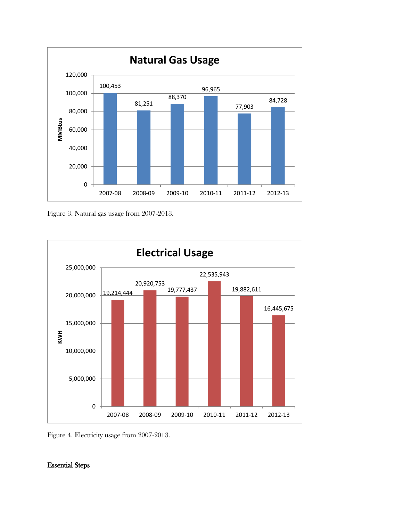

Figure 3. Natural gas usage from 2007-2013.



Figure 4. Electricity usage from 2007-2013.

# Essential Steps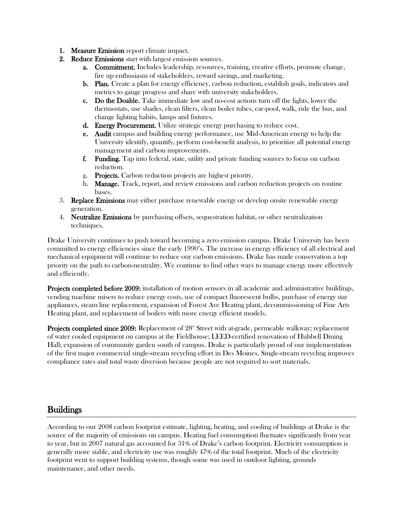- 1. Measure Emission report climate impact.
- 2. Reduce Emissions start with largest emission sources.
	- a. Commitment. Includes leadership, resources, training, creative efforts, promote change, fire up enthusiasm of stakeholders, reward savings, and marketing.
	- b. Plan. Create a plan for energy efficiency, carbon reduction, establish goals, indicators and metrics to gauge progress and share with university stakeholders.
	- c. Do the Doable. Take immediate low and no-cost actions turn off the lights, lower the thermostats, use shades, clean filters, clean boiler tubes, car-pool, walk, ride the bus, and change lighting habits, lamps and fixtures.
	- d. Energy Procurement. Utilize strategic energy purchasing to reduce cost.
	- e. Audit campus and building energy performance, use Mid-American energy to help the University identify, quantify, perform cost-benefit analysis, to prioritize all potential energy management and carbon improvements.
	- f. Funding. Tap into federal, state, utility and private funding sources to focus on carbon reduction.
	- g. Projects. Carbon reduction projects are highest priority.
	- h. Manage. Track, report, and review emissions and carbon reduction projects on routine bases.
- 3. **Replace Emissions** may either purchase renewable energy or develop onsite renewable energy generation.
- 4. Neutralize Emissions by purchasing offsets, sequestration habitat, or other neutralization techniques.

Drake University continues to push toward becoming a zero emission campus. Drake University has been committed to energy efficiencies since the early 1990's. The increase in energy efficiency of all electrical and mechanical equipment will continue to reduce our carbon emissions. Drake has made conservation a top priority on the path to carbon-neutrality. We continue to find other ways to manage energy more effectively and efficiently.

Projects completed before 2009: installation of motion sensors in all academic and administrative buildings, vending machine misers to reduce energy costs, use of compact fluorescent bulbs, purchase of energy star appliances, steam line replacement, expansion of Forest Ave Heating plant, decommissioning of Fine Arts Heating plant, and replacement of boilers with more energy efficient models.

**Projects completed since 2009:** Replacement of 28<sup>th</sup> Street with at-grade, permeable walkway; replacement of water cooled equipment on campus at the Fieldhouse; LEED-certified renovation of Hubbell Dining Hall; expansion of community garden south of campus. Drake is particularly proud of our implementation of the first major commercial single-stream recycling effort in Des Moines. Single-stream recycling improves compliance rates and total waste diversion because people are not required to sort materials.

# **Buildings**

According to our 2008 carbon footprint estimate, lighting, heating, and cooling of buildings at Drake is the source of the majority of emissions on campus. Heating fuel consumption fluctuates significantly from year to year, but in 2007 natural gas accounted for 31% of Drake's carbon footprint. Electricity consumption is generally more stable, and electricity use was roughly 47% of the total footprint. Much of the electricity footprint went to support building systems, though some was used in outdoor lighting, grounds maintenance, and other needs.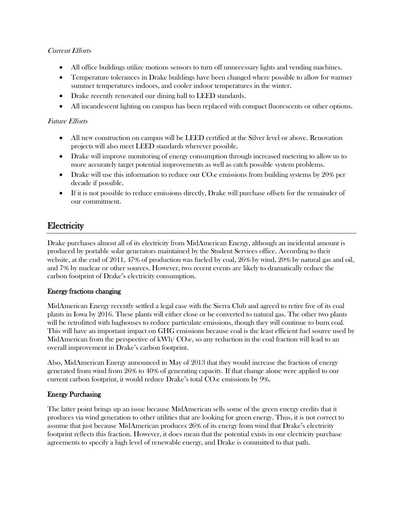# Current Efforts

- All office buildings utilize motions sensors to turn off unnecessary lights and vending machines.
- Temperature tolerances in Drake buildings have been changed where possible to allow for warmer summer temperatures indoors, and cooler indoor temperatures in the winter.
- Drake recently renovated our dining hall to LEED standards.
- All incandescent lighting on campus has been replaced with compact fluorescents or other options.

#### Future Efforts

- All new construction on campus will be LEED certified at the Silver level or above. Renovation projects will also meet LEED standards wherever possible.
- Drake will improve monitoring of energy consumption through increased metering to allow us to more accurately target potential improvements as well as catch possible system problems.
- Drake will use this information to reduce our  $CO<sub>2</sub>e$  emissions from building systems by 20% per decade if possible.
- If it is not possible to reduce emissions directly, Drake will purchase offsets for the remainder of our commitment.

# **Electricity**

Drake purchases almost all of its electricity from MidAmerican Energy, although an incidental amount is produced by portable solar generators maintained by the Student Services office. According to their website, at the end of 2011, 47% of production was fueled by coal, 26% by wind, 20% by natural gas and oil, and 7% by nuclear or other sources. However, two recent events are likely to dramatically reduce the carbon footprint of Drake's electricity consumption.

# Energy fractions changing

MidAmerican Energy recently settled a legal case with the Sierra Club and agreed to retire five of its coal plants in Iowa by 2016. These plants will either close or be converted to natural gas. The other two plants will be retrofitted with baghouses to reduce particulate emissions, though they will continue to burn coal. This will have an important impact on GHG emissions because coal is the least efficient fuel source used by MidAmerican from the perspective of kWh/CO<sub>2</sub>e, so any reduction in the coal fraction will lead to an overall improvement in Drake's carbon footprint.

Also, MidAmerican Energy announced in May of 2013 that they would increase the fraction of energy generated from wind from 26% to 40% of generating capacity. If that change alone were applied to our current carbon footprint, it would reduce Drake's total CO<sub>2</sub>e emissions by 9%.

# Energy Purchasing

The latter point brings up an issue because MidAmerican sells some of the green energy credits that it produces via wind generation to other utilities that are looking for green energy. Thus, it is not correct to assume that just because MidAmerican produces 26% of its energy from wind that Drake's electricity footprint reflects this fraction. However, it does mean that the potential exists in our electricity purchase agreements to specify a high level of renewable energy, and Drake is committed to that path.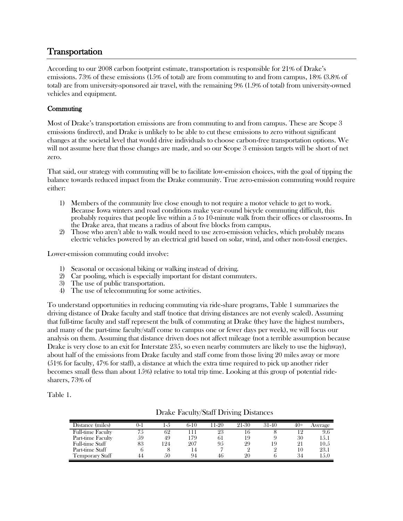# Transportation

According to our 2008 carbon footprint estimate, transportation is responsible for 21% of Drake's emissions. 73% of these emissions (15% of total) are from commuting to and from campus, 18% (3.8% of total) are from university-sponsored air travel, with the remaining 9% (1.9% of total) from university-owned vehicles and equipment.

# **Commuting**

Most of Drake's transportation emissions are from commuting to and from campus. These are Scope 3 emissions (indirect), and Drake is unlikely to be able to cut these emissions to zero without significant changes at the societal level that would drive individuals to choose carbon-free transportation options. We will not assume here that those changes are made, and so our Scope 3 emission targets will be short of net zero.

That said, our strategy with commuting will be to facilitate low-emission choices, with the goal of tipping the balance towards reduced impact from the Drake community. True zero-emission commuting would require either:

- 1) Members of the community live close enough to not require a motor vehicle to get to work. Because Iowa winters and road conditions make year-round bicycle commuting difficult, this probably requires that people live within a 5 to 10-minute walk from their offices or classrooms. In the Drake area, that means a radius of about five blocks from campus.
- 2) Those who aren't able to walk would need to use zero-emission vehicles, which probably means electric vehicles powered by an electrical grid based on solar, wind, and other non-fossil energies.

Lower-emission commuting could involve:

- 1) Seasonal or occasional biking or walking instead of driving.
- 2) Car pooling, which is especially important for distant commuters.
- 3) The use of public transportation.
- 4) The use of telecommuting for some activities.

To understand opportunities in reducing commuting via ride-share programs, Table 1 summarizes the driving distance of Drake faculty and staff (notice that driving distances are not evenly scaled). Assuming that full-time faculty and staff represent the bulk of commuting at Drake (they have the highest numbers, and many of the part-time faculty/staff come to campus one or fewer days per week), we will focus our analysis on them. Assuming that distance driven does not affect mileage (not a terrible assumption because Drake is very close to an exit for Interstate 235, so even nearby commuters are likely to use the highway), about half of the emissions from Drake faculty and staff come from those living 20 miles away or more (51% for faculty, 47% for staff), a distance at which the extra time required to pick up another rider becomes small (less than about 15%) relative to total trip time. Looking at this group of potential ridesharers, 73% of

Table 1.

| Distance (miles)       | J- 1 | l – D | 6-10 | $1-20$ | 21-30 | 31-40 | 40+ | Average |
|------------------------|------|-------|------|--------|-------|-------|-----|---------|
| Full-time Faculty      | ۲.5  | ΩŽ    |      |        |       |       |     | 9.0     |
| Part-time Faculty      | 59   | 49    | 79ء  | 61     | 19    |       | 30  | 15.1    |
| <b>Full-time Staff</b> | 83   | 24    | 207  | 95     | 29    | 9     | 21  | 10.5    |
| Part-time Staff        |      |       |      |        |       |       |     | 23.1    |
| Temporary Staff        |      | 50    | 94   | 46     | 90    |       |     | 15.0    |

#### Drake Faculty/Staff Driving Distances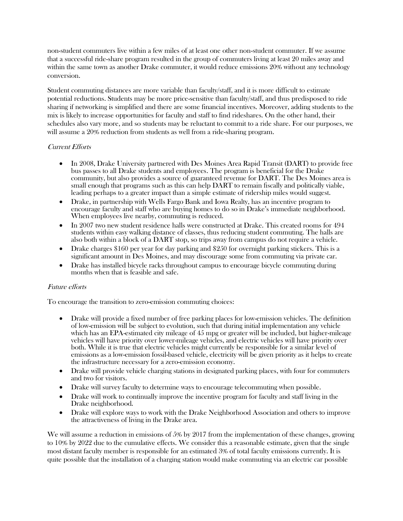non-student commuters live within a few miles of at least one other non-student commuter. If we assume that a successful ride-share program resulted in the group of commuters living at least 20 miles away and within the same town as another Drake commuter, it would reduce emissions 20% without any technology conversion.

Student commuting distances are more variable than faculty/staff, and it is more difficult to estimate potential reductions. Students may be more price-sensitive than faculty/staff, and thus predisposed to ride sharing if networking is simplified and there are some financial incentives. Moreover, adding students to the mix is likely to increase opportunities for faculty and staff to find rideshares. On the other hand, their schedules also vary more, and so students may be reluctant to commit to a ride share. For our purposes, we will assume a 20% reduction from students as well from a ride-sharing program.

#### Current Efforts

- In 2008, Drake University partnered with Des Moines Area Rapid Transit (DART) to provide free bus passes to all Drake students and employees. The program is beneficial for the Drake community, but also provides a source of guaranteed revenue for DART. The Des Moines area is small enough that programs such as this can help DART to remain fiscally and politically viable, leading perhaps to a greater impact than a simple estimate of ridership miles would suggest.
- Drake, in partnership with Wells Fargo Bank and Iowa Realty, has an incentive program to encourage faculty and staff who are buying homes to do so in Drake's immediate neighborhood. When employees live nearby, commuting is reduced.
- In 2007 two new student residence halls were constructed at Drake. This created rooms for 494 students within easy walking distance of classes, thus reducing student commuting. The halls are also both within a block of a DART stop, so trips away from campus do not require a vehicle.
- Drake charges \$160 per year for day parking and \$250 for overnight parking stickers. This is a significant amount in Des Moines, and may discourage some from commuting via private car.
- Drake has installed bicycle racks throughout campus to encourage bicycle commuting during months when that is feasible and safe.

#### Future efforts

To encourage the transition to zero-emission commuting choices:

- Drake will provide a fixed number of free parking places for low-emission vehicles. The definition of low-emission will be subject to evolution, such that during initial implementation any vehicle which has an EPA-estimated city mileage of 45 mpg or greater will be included, but higher-mileage vehicles will have priority over lower-mileage vehicles, and electric vehicles will have priority over both. While it is true that electric vehicles might currently be responsible for a similar level of emissions as a low-emission fossil-based vehicle, electricity will be given priority as it helps to create the infrastructure necessary for a zero-emission economy.
- Drake will provide vehicle charging stations in designated parking places, with four for commuters and two for visitors.
- Drake will survey faculty to determine ways to encourage telecommuting when possible.
- Drake will work to continually improve the incentive program for faculty and staff living in the Drake neighborhood.
- Drake will explore ways to work with the Drake Neighborhood Association and others to improve the attractiveness of living in the Drake area.

We will assume a reduction in emissions of 5% by 2017 from the implementation of these changes, growing to 10% by 2022 due to the cumulative effects. We consider this a reasonable estimate, given that the single most distant faculty member is responsible for an estimated 3% of total faculty emissions currently. It is quite possible that the installation of a charging station would make commuting via an electric car possible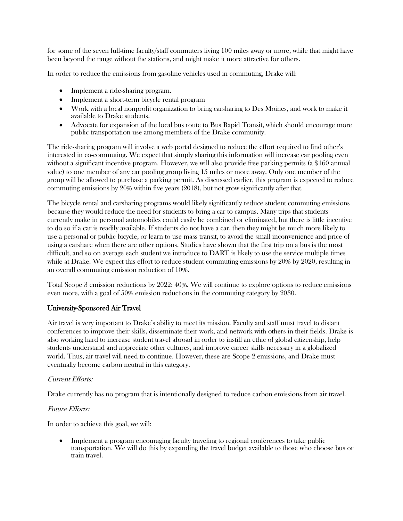for some of the seven full-time faculty/staff commuters living 100 miles away or more, while that might have been beyond the range without the stations, and might make it more attractive for others.

In order to reduce the emissions from gasoline vehicles used in commuting, Drake will:

- Implement a ride-sharing program.
- Implement a short-term bicycle rental program
- Work with a local nonprofit organization to bring carsharing to Des Moines, and work to make it available to Drake students.
- Advocate for expansion of the local bus route to Bus Rapid Transit, which should encourage more public transportation use among members of the Drake community.

The ride-sharing program will involve a web portal designed to reduce the effort required to find other's interested in co-commuting. We expect that simply sharing this information will increase car pooling even without a significant incentive program. However, we will also provide free parking permits (a \$160 annual value) to one member of any car pooling group living 15 miles or more away. Only one member of the group will be allowed to purchase a parking permit. As discussed earlier, this program is expected to reduce commuting emissions by 20% within five years (2018), but not grow significantly after that.

The bicycle rental and carsharing programs would likely significantly reduce student commuting emissions because they would reduce the need for students to bring a car to campus. Many trips that students currently make in personal automobiles could easily be combined or eliminated, but there is little incentive to do so if a car is readily available. If students do not have a car, then they might be much more likely to use a personal or public bicycle, or learn to use mass transit, to avoid the small inconvenience and price of using a carshare when there are other options. Studies have shown that the first trip on a bus is the most difficult, and so on average each student we introduce to DART is likely to use the service multiple times while at Drake. We expect this effort to reduce student commuting emissions by 20% by 2020, resulting in an overall commuting emission reduction of 10%.

Total Scope 3 emission reductions by 2022: 40%. We will continue to explore options to reduce emissions even more, with a goal of 50% emission reductions in the commuting category by 2030.

# University-Sponsored Air Travel

Air travel is very important to Drake's ability to meet its mission. Faculty and staff must travel to distant conferences to improve their skills, disseminate their work, and network with others in their fields. Drake is also working hard to increase student travel abroad in order to instill an ethic of global citizenship, help students understand and appreciate other cultures, and improve career skills necessary in a globalized world. Thus, air travel will need to continue. However, these are Scope 2 emissions, and Drake must eventually become carbon neutral in this category.

#### Current Efforts:

Drake currently has no program that is intentionally designed to reduce carbon emissions from air travel.

#### Future Efforts:

In order to achieve this goal, we will:

• Implement a program encouraging faculty traveling to regional conferences to take public transportation. We will do this by expanding the travel budget available to those who choose bus or train travel.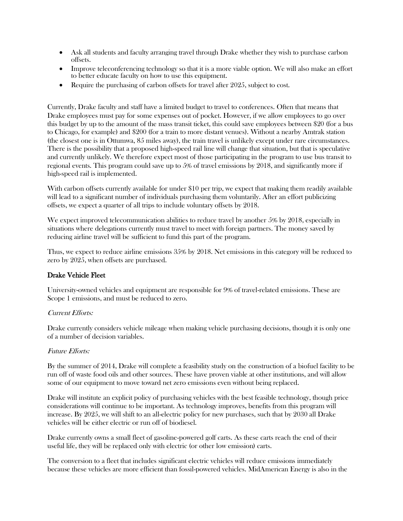- Ask all students and faculty arranging travel through Drake whether they wish to purchase carbon offsets.
- Improve teleconferencing technology so that it is a more viable option. We will also make an effort to better educate faculty on how to use this equipment.
- Require the purchasing of carbon offsets for travel after 2025, subject to cost.

Currently, Drake faculty and staff have a limited budget to travel to conferences. Often that means that Drake employees must pay for some expenses out of pocket. However, if we allow employees to go over this budget by up to the amount of the mass transit ticket, this could save employees between \$20 (for a bus to Chicago, for example) and \$200 (for a train to more distant venues). Without a nearby Amtrak station (the closest one is in Ottumwa, 85 miles away), the train travel is unlikely except under rare circumstances. There is the possibility that a proposed high-speed rail line will change that situation, but that is speculative and currently unlikely. We therefore expect most of those participating in the program to use bus transit to regional events. This program could save up to 5% of travel emissions by 2018, and significantly more if high-speed rail is implemented.

With carbon offsets currently available for under \$10 per trip, we expect that making them readily available will lead to a significant number of individuals purchasing them voluntarily. After an effort publicizing offsets, we expect a quarter of all trips to include voluntary offsets by 2018.

We expect improved telecommunication abilities to reduce travel by another 5% by 2018, especially in situations where delegations currently must travel to meet with foreign partners. The money saved by reducing airline travel will be sufficient to fund this part of the program.

Thus, we expect to reduce airline emissions 35% by 2018. Net emissions in this category will be reduced to zero by 2025, when offsets are purchased.

#### Drake Vehicle Fleet

University-owned vehicles and equipment are responsible for 9% of travel-related emissions. These are Scope 1 emissions, and must be reduced to zero.

#### Current Efforts:

Drake currently considers vehicle mileage when making vehicle purchasing decisions, though it is only one of a number of decision variables.

#### Future Efforts:

By the summer of 2014, Drake will complete a feasibility study on the construction of a biofuel facility to be run off of waste food oils and other sources. These have proven viable at other institutions, and will allow some of our equipment to move toward net zero emissions even without being replaced.

Drake will institute an explicit policy of purchasing vehicles with the best feasible technology, though price considerations will continue to be important. As technology improves, benefits from this program will increase. By 2025, we will shift to an all-electric policy for new purchases, such that by 2030 all Drake vehicles will be either electric or run off of biodiesel.

Drake currently owns a small fleet of gasoline-powered golf carts. As these carts reach the end of their useful life, they will be replaced only with electric (or other low emission) carts.

The conversion to a fleet that includes significant electric vehicles will reduce emissions immediately because these vehicles are more efficient than fossil-powered vehicles. MidAmerican Energy is also in the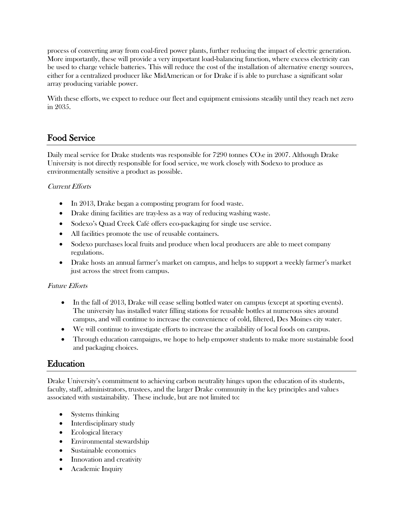process of converting away from coal-fired power plants, further reducing the impact of electric generation. More importantly, these will provide a very important load-balancing function, where excess electricity can be used to charge vehicle batteries. This will reduce the cost of the installation of alternative energy sources, either for a centralized producer like MidAmerican or for Drake if is able to purchase a significant solar array producing variable power.

With these efforts, we expect to reduce our fleet and equipment emissions steadily until they reach net zero in 2035.

# Food Service

Daily meal service for Drake students was responsible for 7290 tonnes CO<sub>2</sub>e in 2007. Although Drake University is not directly responsible for food service, we work closely with Sodexo to produce as environmentally sensitive a product as possible.

# Current Efforts

- In 2013, Drake began a composting program for food waste.
- Drake dining facilities are tray-less as a way of reducing washing waste.
- Sodexo's Quad Creek Café offers eco-packaging for single use service.
- All facilities promote the use of reusable containers.
- Sodexo purchases local fruits and produce when local producers are able to meet company regulations.
- Drake hosts an annual farmer's market on campus, and helps to support a weekly farmer's market just across the street from campus.

# Future Efforts

- In the fall of 2013, Drake will cease selling bottled water on campus (except at sporting events). The university has installed water filling stations for reusable bottles at numerous sites around campus, and will continue to increase the convenience of cold, filtered, Des Moines city water.
- We will continue to investigate efforts to increase the availability of local foods on campus.
- Through education campaigns, we hope to help empower students to make more sustainable food and packaging choices.

# Education

Drake University's commitment to achieving carbon neutrality hinges upon the education of its students, faculty, staff, administrators, trustees, and the larger Drake community in the key principles and values associated with sustainability. These include, but are not limited to:

- Systems thinking
- Interdisciplinary study
- Ecological literacy
- Environmental stewardship
- Sustainable economics
- Innovation and creativity
- Academic Inquiry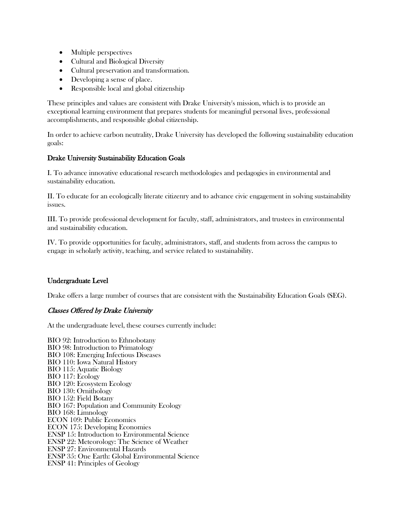- Multiple perspectives
- Cultural and Biological Diversity
- Cultural preservation and transformation.
- Developing a sense of place.
- Responsible local and global citizenship

These principles and values are consistent with Drake University's mission, which is to provide an exceptional learning environment that prepares students for meaningful personal lives, professional accomplishments, and responsible global citizenship.

In order to achieve carbon neutrality, Drake University has developed the following sustainability education goals:

#### Drake University Sustainability Education Goals

I. To advance innovative educational research methodologies and pedagogies in environmental and sustainability education.

II. To educate for an ecologically literate citizenry and to advance civic engagement in solving sustainability issues.

III. To provide professional development for faculty, staff, administrators, and trustees in environmental and sustainability education.

IV. To provide opportunities for faculty, administrators, staff, and students from across the campus to engage in scholarly activity, teaching, and service related to sustainability.

# Undergraduate Level

Drake offers a large number of courses that are consistent with the Sustainability Education Goals (SEG).

# Classes Offered by Drake University

At the undergraduate level, these courses currently include:

BIO 92: Introduction to Ethnobotany BIO 98: Introduction to Primatology BIO 108: Emerging Infectious Diseases BIO 110: Iowa Natural History BIO 115: Aquatic Biology BIO 117: Ecology BIO 120: Ecosystem Ecology BIO 130: Ornithology BIO 152: Field Botany BIO 167: Population and Community Ecology BIO 168: Limnology ECON 109: Public Economics ECON 175: Developing Economies ENSP 15: Introduction to Environmental Science ENSP 22: Meteorology: The Science of Weather ENSP 27: Environmental Hazards ENSP 35: One Earth: Global Environmental Science ENSP 41: Principles of Geology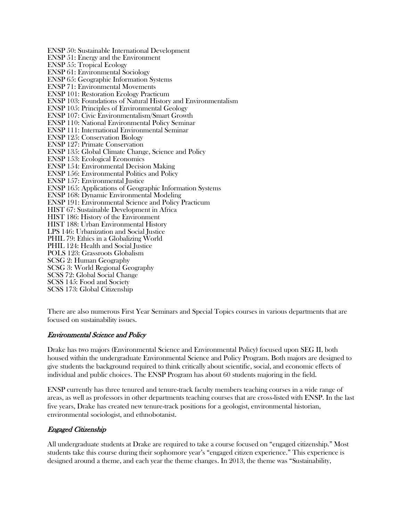ENSP 50: Sustainable International Development ENSP 51: Energy and the Environment ENSP 55: Tropical Ecology ENSP 61: Environmental Sociology ENSP 65: Geographic Information Systems ENSP 71: Environmental Movements ENSP 101: Restoration Ecology Practicum ENSP 103: Foundations of Natural History and Environmentalism ENSP 105: Principles of Environmental Geology ENSP 107: Civic Environmentalism/Smart Growth ENSP 110: National Environmental Policy Seminar ENSP 111: International Environmental Seminar ENSP 125: Conservation Biology ENSP 127: Primate Conservation ENSP 135: Global Climate Change, Science and Policy ENSP 153: Ecological Economics ENSP 154: Environmental Decision Making ENSP 156: Environmental Politics and Policy ENSP 157: Environmental Justice ENSP 165: Applications of Geographic Information Systems ENSP 168: Dynamic Environmental Modeling ENSP 191: Environmental Science and Policy Practicum HIST 67: Sustainable Development in Africa HIST 186: History of the Environment HIST 188: Urban Environmental History LPS 146: Urbanization and Social Justice PHIL 79: Ethics in a Globalizing World PHIL 124: Health and Social Justice POLS 123: Grassroots Globalism SCSG 2: Human Geography SCSG 3: World Regional Geography SCSS 72: Global Social Change SCSS 145: Food and Society SCSS 173: Global Citizenship

There are also numerous First Year Seminars and Special Topics courses in various departments that are focused on sustainability issues.

#### Environmental Science and Policy

Drake has two majors (Environmental Science and Environmental Policy) focused upon SEG II, both housed within the undergraduate Environmental Science and Policy Program. Both majors are designed to give students the background required to think critically about scientific, social, and economic effects of individual and public choices. The ENSP Program has about 60 students majoring in the field.

ENSP currently has three tenured and tenure-track faculty members teaching courses in a wide range of areas, as well as professors in other departments teaching courses that are cross-listed with ENSP. In the last five years, Drake has created new tenure-track positions for a geologist, environmental historian, environmental sociologist, and ethnobotanist.

#### Engaged Citizenship

All undergraduate students at Drake are required to take a course focused on "engaged citizenship." Most students take this course during their sophomore year's "engaged citizen experience." This experience is designed around a theme, and each year the theme changes. In 2013, the theme was "Sustainability,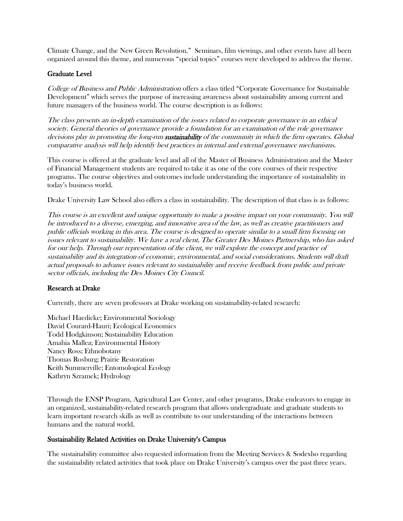Climate Change, and the New Green Revolution." Seminars, film viewings, and other events have all been organized around this theme, and numerous "special topics" courses were developed to address the theme.

#### Graduate Level

College of Business and Public Administration offers a class titled "Corporate Governance for Sustainable Development" which serves the purpose of increasing awareness about sustainability among current and future managers of the business world. The course description is as follows:

The class presents an in-depth examination of the issues related to corporate governance in an ethical society. General theories of governance provide a foundation for an examination of the role governance decisions play in promoting the long-run **sustainability** of the community in which the firm operates. Global comparative analysis will help identify best practices in internal and external governance mechanisms.

This course is offered at the graduate level and all of the Master of Business Administration and the Master of Financial Management students are required to take it as one of the core courses of their respective programs. The course objectives and outcomes include understanding the importance of sustainability in today's business world.

Drake University Law School also offers a class in sustainability. The description of that class is as follows:

This course is an excellent and unique opportunity to make a positive impact on your community. You will be introduced to a diverse, emerging, and innovative area of the law, as well as creative practitioners and public officials working in this area. The course is designed to operate similar to a small firm focusing on issues relevant to sustainability. We have a real client, The Greater Des Moines Partnership, who has asked for our help. Through our representation of the client, we will explore the concept and practice of sustainability and its integration of economic, environmental, and social considerations. Students will draft actual proposals to advance issues relevant to sustainability and receive feedback from public and private sector officials, including the Des Moines City Council.

#### Research at Drake

Currently, there are seven professors at Drake working on sustainability-related research:

Michael Haedicke; Environmental Sociology David Courard-Hauri; Ecological Economics Todd Hodgkinson; Sustainability Education Amahia Mallea; Environmental History Nancy Ross; Ethnobotany Thomas Rosburg; Prairie Restoration Keith Summerville; Entomological Ecology Kathryn Szramek; Hydrology

Through the ENSP Program, Agricultural Law Center, and other programs, Drake endeavors to engage in an organized, sustainability-related research program that allows undergraduate and graduate students to learn important research skills as well as contribute to our understanding of the interactions between humans and the natural world.

#### Sustainability Related Activities on Drake University's Campus

The sustainability committee also requested information from the Meeting Services & Sodexho regarding the sustainability related activities that took place on Drake University's campus over the past three years.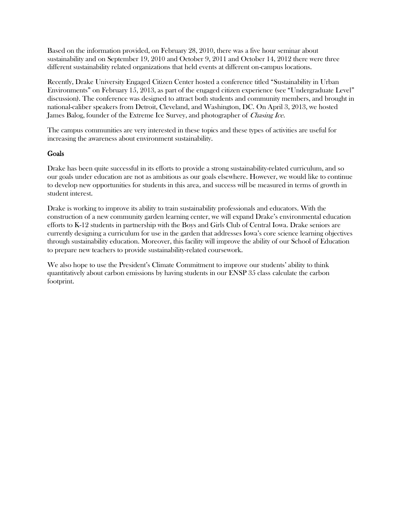Based on the information provided, on February 28, 2010, there was a five hour seminar about sustainability and on September 19, 2010 and October 9, 2011 and October 14, 2012 there were three different sustainability related organizations that held events at different on-campus locations.

Recently, Drake University Engaged Citizen Center hosted a conference titled "Sustainability in Urban Environments" on February 15, 2013, as part of the engaged citizen experience (see "Undergraduate Level" discussion). The conference was designed to attract both students and community members, and brought in national-caliber speakers from Detroit, Cleveland, and Washington, DC. On April 3, 2013, we hosted James Balog, founder of the Extreme Ice Survey, and photographer of *Chasing Ice*.

The campus communities are very interested in these topics and these types of activities are useful for increasing the awareness about environment sustainability.

#### Goals

Drake has been quite successful in its efforts to provide a strong sustainability-related curriculum, and so our goals under education are not as ambitious as our goals elsewhere. However, we would like to continue to develop new opportunities for students in this area, and success will be measured in terms of growth in student interest.

Drake is working to improve its ability to train sustainability professionals and educators. With the construction of a new community garden learning center, we will expand Drake's environmental education efforts to K-12 students in partnership with the Boys and Girls Club of Central Iowa. Drake seniors are currently designing a curriculum for use in the garden that addresses Iowa's core science learning objectives through sustainability education. Moreover, this facility will improve the ability of our School of Education to prepare new teachers to provide sustainability-related coursework.

We also hope to use the President's Climate Commitment to improve our students' ability to think quantitatively about carbon emissions by having students in our ENSP 35 class calculate the carbon footprint.